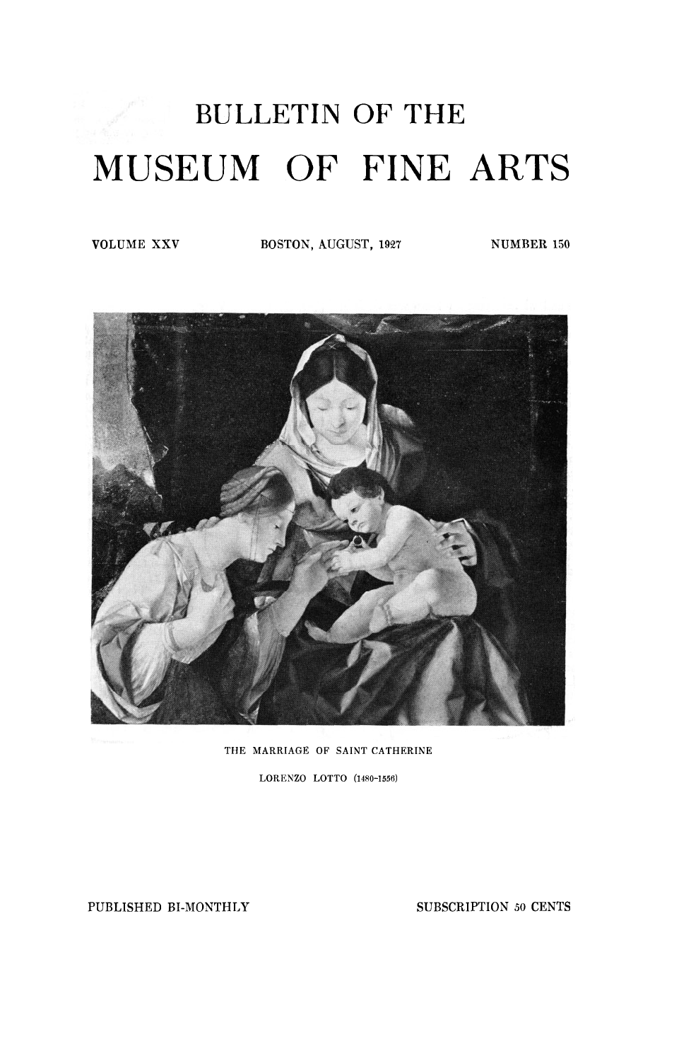## BULLETIN OF THE MUSEUM OF FINE ARTS

**VOLUME XXV BOSTON,** AUGUST, **1927 NUMBER 150** 



**THE MARRIAGE OF SAINT CATHERINE** 

**LORENZO LOTTO (1480-1556)** 

PUBLISHED BI-MONTHLY SUBSCRIPTION 50 CENTS